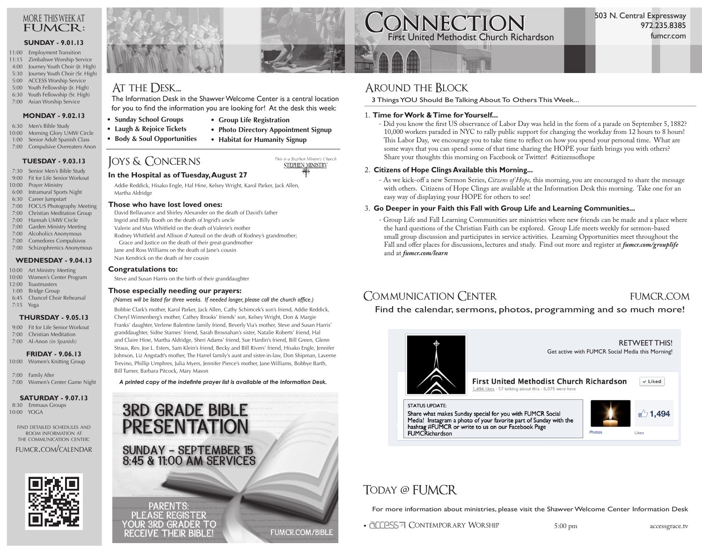#### more this week at FUMCR:

#### **SUNDAY - 9.01.13**

- 11:00 Employment Transition 11:15 Zimbabwe Worship Service
- 4:00 Journey Youth Choir (Jr. High) 5:30 Journey Youth Choir (Sr. High)
- 5:00 ACCESS Worship Service
- 5:00 Youth Fellowship (Jr. High)
- 6:30 Youth Fellowship (Sr. High)
- 7:00 Asian Worship Service
	- **MONDAY 9.02.13**
- 6:30 Men's Bible Study
- 10:00 Morning Glory UMW Circle 1:00 Senior Adult Spanish Class
- 7:00 Compulsive Overeaters Anon

### **TUESDAY - 9.03.13**

- 7:30 Senior Men's Bible Study
- 9:00 Fit for Life Senior Workout
- 10:00 Prayer Ministry 6:00 Intramural Sports Night
- 6:30 Career Jumpstart
- 7:00 FOCUS Photography Meeting
- 7:00 Christian Meditation Group
- 7:00 Hannah UMW Circle
- 7:00 Garden Ministry Meeting
- 7:00 Alcoholics Anonymous
- 7:00 Comedores Compulsivos
- 7:00 Schizophrenics Anonymous

#### **WEDNESDAY - 9.04.13**

- 10:00 Art Ministry Meeting
- 10:00 Women's Center Program 12:00 Toastmasters
- 1:00 Bridge Group
- 6:45 Chancel Choir Rehearsal
- 7:15 Yoga

#### **THURSDAY - 9.05.13**

- 9:00 Fit for Life Senior Workout
- 7:00 Christian Meditation
- 7:00 Al-Anon *(in Spanish)*

#### **FRIDAY - 9.06.13**

10:00 Women's Knitting Group

 7:00 Family After 7:00 Women's Center Game Night

#### **SATURDAY - 9.07.13**

 8:30 Emmaus Groups 10:00 YOGA

find detailed schedules and room information at the communication center:

fumcr.com/calendar







### AT THE DESK...

The Information Desk in the Shawver Welcome Center is a central location for you to find the information you are looking for! At the desk this week:

**• Group Life Registration**

**• Habitat for Humanity Signup**

- **Sunday School Groups**
- **Laugh & Rejoice Tickets**
- **Body & Soul Opportunities**
- Joys & Concerns

### **In the Hospital as of Tuesday, August 27**

Addie Reddick, Hisako Engle, Hal Hine, Kelsey Wright, Karol Parker, Jack Allen, Martha Aldridge

#### **Those who have lost loved ones:**

David Bellavance and Shirley Alexander on the death of David's father Ingrid and Billy Booth on the death of Ingrid's uncle Valerie and Max Whitfield on the death of Valerie's mother Rodney Whitfield and Allison d'Auteuil on the death of Rodney's grandmother; Grace and Justice on the death of their great-grandmother Jane and Ross Williams on the death of Jane's cousin Nan Kendrick on the death of her cousin

#### **Congratulations to:**

Steve and Susan Harris on the birth of their granddaughter

#### **Those especially needing our prayers:**

 *(Names will be listed for three weeks. If needed longer, please call the church office.)*

Bobbie Clark's mother, Karol Parker, Jack Allen, Cathy Schimcek's son's friend, Addie Reddick, Cheryl Winnenberg's mother, Cathey Brooks' friends' son, Kelsey Wright, Don & Margie Franks' daughter, Verlene Balentine family friend, Beverly Via's mother, Steve and Susan Harris' granddaughter, Sidne Starnes' friend, Sarah Brosnahan's sister, Natalie Roberts' friend, Hal and Claire Hine, Martha Aldridge, Sheri Adams' friend, Sue Hardin's friend, Bill Green, Glenn Straus, Rev. Joe L. Esters, Sam Klein's friend, Becky and Bill Rivers' friend, Hisako Engle, Jennifer Johnson, Liz Angstadt's mother, The Harrel family's aunt and sister-in-law, Don Shipman, Laverne Trevino, Phillip Umphres, Julia Myers, Jennifer Pierce's mother, Jane Williams, Bobbye Barth, Bill Turner, Barbara Pitcock, Mary Mason

*A printed copy of the indefinte prayer list is available at the Information Desk.*

# **3RD GRADE BIBLE PRESENTATION** SUNDAY - SEPTEMBER 15<br>8:45 & 11:00 AM SERVICES

PARENTS: PLEASE REGISTER YOUR 3RD GRADER TO **RECEIVE THEIR BIBLE!** 

# Around the Block

3 Things YOU Should Be Talking About To Others This Week...

#### 1. **Time for Work & Time for Yourself...**

 - Did you know the first US observance of Labor Day was held in the form of a parade on September 5, 1882? 10,000 workers paraded in NYC to rally public support for changing the workday from 12 hours to 8 hours! This Labor Day, we encourage you to take time to reflect on how you spend your personal time. What are some ways that you can spend some of that time sharing the HOPE your faith brings you with others? Share your thoughts this morning on Facebook or Twitter! #citizensofhope

#### 2. **Citizens of Hope Clings Available this Morning...**

 - As we kick-off a new Sermon Series, *Citzens of Hope,* this morning, you are encouraged to share the message with others. Citizens of Hope Clings are available at the Information Desk this morning. Take one for an easy way of displaying your HOPE for others to see!

#### 3. **Go Deeper in your Faith this Fall with Group Life and Learning Communities...**

 - Group Life and Fall Learning Communities are ministries where new friends can be made and a place where the hard questions of the Christian Faith can be explored. Group Life meets weekly for sermon-based small group discussion and participates in service activities. Learning Opportunities meet throughout the Fall and offer places for discussions, lectures and study. Find out more and register at *fumcr.com/grouplife* and at *fumcr.com/learn*

### Communication Center fumcr.com

Find the calendar, sermons, photos, programming and so much more!

#### RETWEET THIS! Get active with FUMCR Social Media this Morning!First United Methodist Church Richardson  $\times$  Liked  $1,494$  likes  $\cdot$  57 talking about this  $\cdot$  6,075 were here **STATUS UPDATE:**  $\bigcirc$  1,494 Share what makes Sunday special for you with FUMCR Social Media! Instagram a photo of your favorite part of Sunday with the hashtag #FUMCR or write to us on our Facebook Page Photos Likes **FUMCRichardson**

### TODAY @ FUMCR

For more information about ministries, please visit the Shawver Welcome Center Information Desk

• COLOSS<sub>7</sub> CONTEMPORARY WORSHIP 5:00 pm accessgrace.tv

### **CONNECTION**<br>First United Methodist Church Richardson fumcr.com 972.235.8385



**FUMCR.COM/BIBLE** 

**• Photo Directory Appointment Signup**